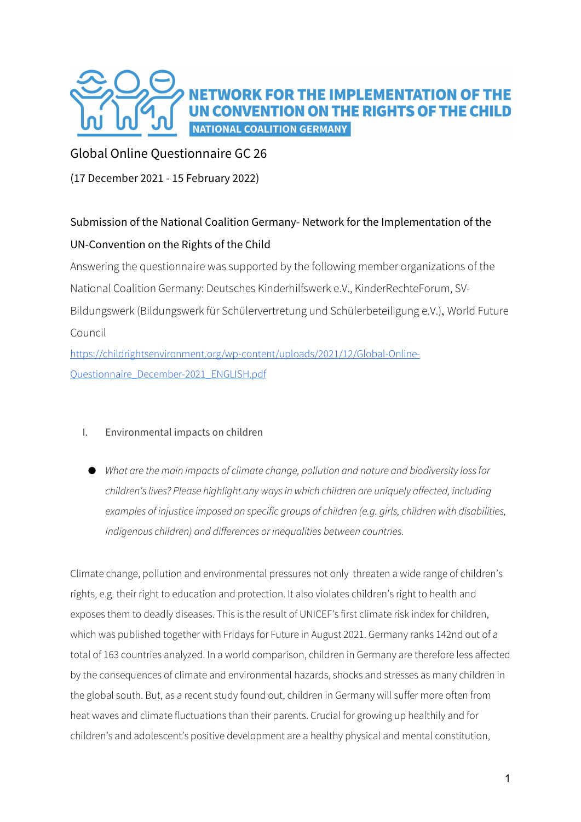

# Global Online Questionnaire GC 26

(17 December 2021 - 15 February 2022)

# Submission of the National Coalition Germany- Network for the Implementation of the UN-Convention on the Rights of the Child

Answering the questionnaire was supported by the following member organizations of the National Coalition Germany: Deutsches Kinderhilfswerk e.V., KinderRechteForum, SV-Bildungswerk (Bildungswerk für Schülervertretung und Schülerbeteiligung e.V.), World Future Council

https://childrightsenvironment.org/wp-content/uploads/2021/12/Global-Online-Questionnaire\_December-2021\_ENGLISH.pdf

# I. Environmental impacts on children

● What are the main impacts of climate change, pollution and nature and biodiversity loss for children's lives? Please highlight any ways in which children are uniquely affected, including examples of injustice imposed on specific groups of children (e.g. girls, children with disabilities, Indigenous children) and differences or inequalities between countries.

Climate change, pollution and environmental pressures not only threaten a wide range of children's rights, e.g. their right to education and protection. It also violates children's right to health and exposes them to deadly diseases. This is the result of UNICEF's first climate risk index for children, which was published together with Fridays for Future in August 2021. Germany ranks 142nd out of a total of 163 countries analyzed. In a world comparison, children in Germany are therefore less affected by the consequences of climate and environmental hazards, shocks and stresses as many children in the global south. But, as a recent study found out, children in Germany will suffer more often from heat waves and climate fluctuations than their parents. Crucial for growing up healthily and for children's and adolescent's positive development are a healthy physical and mental constitution,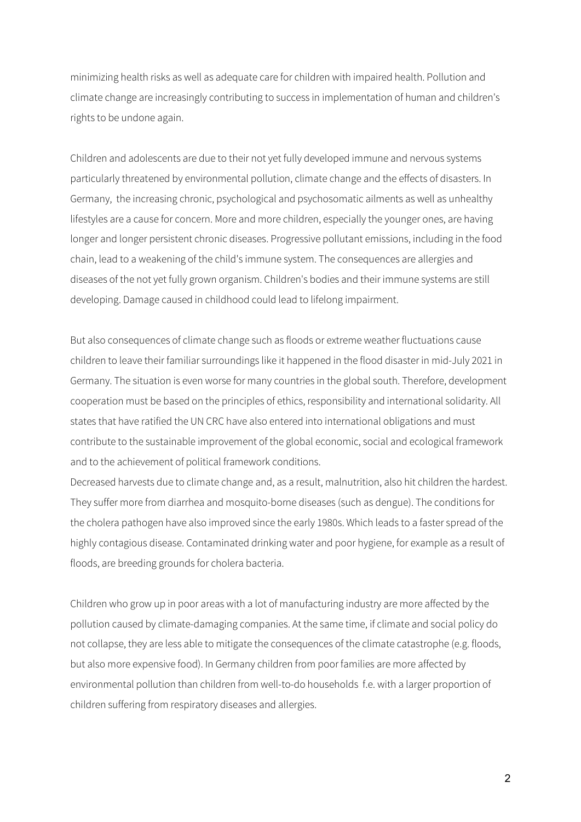minimizing health risks as well as adequate care for children with impaired health. Pollution and climate change are increasingly contributing to success in implementation of human and children's rights to be undone again.

Children and adolescents are due to their not yet fully developed immune and nervous systems particularly threatened by environmental pollution, climate change and the effects of disasters. In Germany, the increasing chronic, psychological and psychosomatic ailments as well as unhealthy lifestyles are a cause for concern. More and more children, especially the younger ones, are having longer and longer persistent chronic diseases. Progressive pollutant emissions, including in the food chain, lead to a weakening of the child's immune system. The consequences are allergies and diseases of the not yet fully grown organism. Children's bodies and their immune systems are still developing. Damage caused in childhood could lead to lifelong impairment.

But also consequences of climate change such as floods or extreme weather fluctuations cause children to leave their familiar surroundings like it happened in the flood disaster in mid-July 2021 in Germany. The situation is even worse for many countries in the global south. Therefore, development cooperation must be based on the principles of ethics, responsibility and international solidarity. All states that have ratified the UN CRC have also entered into international obligations and must contribute to the sustainable improvement of the global economic, social and ecological framework and to the achievement of political framework conditions.

Decreased harvests due to climate change and, as a result, malnutrition, also hit children the hardest. They suffer more from diarrhea and mosquito-borne diseases (such as dengue). The conditions for the cholera pathogen have also improved since the early 1980s. Which leads to a faster spread of the highly contagious disease. Contaminated drinking water and poor hygiene, for example as a result of floods, are breeding grounds for cholera bacteria.

Children who grow up in poor areas with a lot of manufacturing industry are more affected by the pollution caused by climate-damaging companies. At the same time, if climate and social policy do not collapse, they are less able to mitigate the consequences of the climate catastrophe (e.g. floods, but also more expensive food). In Germany children from poor families are more affected by environmental pollution than children from well-to-do households f.e. with a larger proportion of children suffering from respiratory diseases and allergies.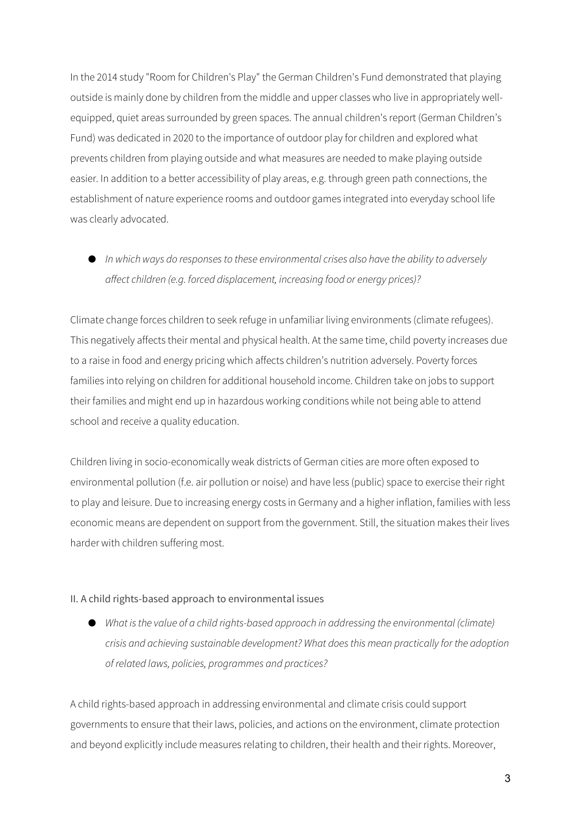In the 2014 study "Room for Children's Play" the German Children's Fund demonstrated that playing outside is mainly done by children from the middle and upper classes who live in appropriately wellequipped, quiet areas surrounded by green spaces. The annual children's report (German Children's Fund) was dedicated in 2020 to the importance of outdoor play for children and explored what prevents children from playing outside and what measures are needed to make playing outside easier. In addition to a better accessibility of play areas, e.g. through green path connections, the establishment of nature experience rooms and outdoor games integrated into everyday school life was clearly advocated.

● In which ways do responses to these environmental crises also have the ability to adversely affect children (e.g. forced displacement, increasing food or energy prices)?

Climate change forces children to seek refuge in unfamiliar living environments (climate refugees). This negatively affects their mental and physical health. At the same time, child poverty increases due to a raise in food and energy pricing which affects children's nutrition adversely. Poverty forces families into relying on children for additional household income. Children take on jobs to support their families and might end up in hazardous working conditions while not being able to attend school and receive a quality education.

Children living in socio-economically weak districts of German cities are more often exposed to environmental pollution (f.e. air pollution or noise) and have less (public) space to exercise their right to play and leisure. Due to increasing energy costs in Germany and a higher inflation, families with less economic means are dependent on support from the government. Still, the situation makes their lives harder with children suffering most.

#### II. A child rights-based approach to environmental issues

● What is the value of a child rights-based approach in addressing the environmental (climate) crisis and achieving sustainable development? What does this mean practically for the adoption of related laws, policies, programmes and practices?

A child rights-based approach in addressing environmental and climate crisis could support governments to ensure that their laws, policies, and actions on the environment, climate protection and beyond explicitly include measures relating to children, their health and their rights. Moreover,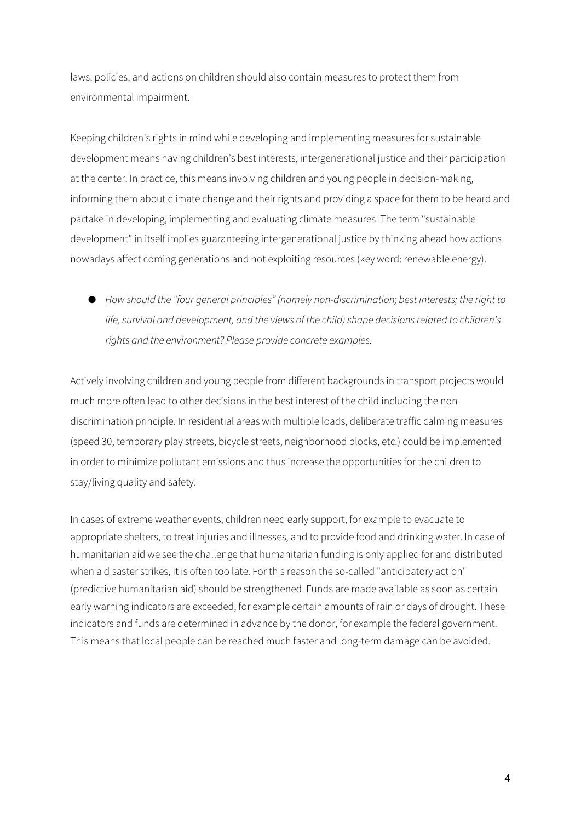laws, policies, and actions on children should also contain measures to protect them from environmental impairment.

Keeping children's rights in mind while developing and implementing measures for sustainable development means having children's best interests, intergenerational justice and their participation at the center. In practice, this means involving children and young people in decision-making, informing them about climate change and their rights and providing a space for them to be heard and partake in developing, implementing and evaluating climate measures. The term "sustainable development" in itself implies guaranteeing intergenerational justice by thinking ahead how actions nowadays affect coming generations and not exploiting resources (key word: renewable energy).

● How should the "four general principles" (namely non-discrimination; best interests; the right to life, survival and development, and the views of the child) shape decisions related to children's rights and the environment? Please provide concrete examples.

Actively involving children and young people from different backgrounds in transport projects would much more often lead to other decisions in the best interest of the child including the non discrimination principle. In residential areas with multiple loads, deliberate traffic calming measures (speed 30, temporary play streets, bicycle streets, neighborhood blocks, etc.) could be implemented in order to minimize pollutant emissions and thus increase the opportunities for the children to stay/living quality and safety.

In cases of extreme weather events, children need early support, for example to evacuate to appropriate shelters, to treat injuries and illnesses, and to provide food and drinking water. In case of humanitarian aid we see the challenge that humanitarian funding is only applied for and distributed when a disaster strikes, it is often too late. For this reason the so-called "anticipatory action" (predictive humanitarian aid) should be strengthened. Funds are made available as soon as certain early warning indicators are exceeded, for example certain amounts of rain or days of drought. These indicators and funds are determined in advance by the donor, for example the federal government. This means that local people can be reached much faster and long-term damage can be avoided.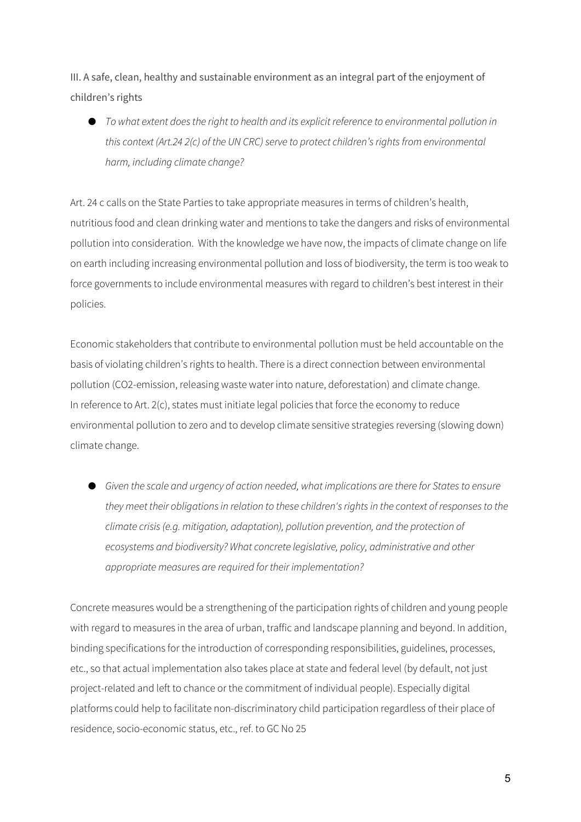III. A safe, clean, healthy and sustainable environment as an integral part of the enjoyment of children's rights

● To what extent does the right to health and its explicit reference to environmental pollution in this context (Art.24 2(c) of the UN CRC) serve to protect children's rights from environmental harm, including climate change?

Art. 24 c calls on the State Parties to take appropriate measures in terms of children's health, nutritious food and clean drinking water and mentions to take the dangers and risks of environmental pollution into consideration. With the knowledge we have now, the impacts of climate change on life on earth including increasing environmental pollution and loss of biodiversity, the term is too weak to force governments to include environmental measures with regard to children's best interest in their policies.

Economic stakeholders that contribute to environmental pollution must be held accountable on the basis of violating children's rights to health. There is a direct connection between environmental pollution (CO2-emission, releasing waste water into nature, deforestation) and climate change. In reference to Art. 2(c), states must initiate legal policies that force the economy to reduce environmental pollution to zero and to develop climate sensitive strategies reversing (slowing down) climate change.

● Given the scale and urgency of action needed, what implications are there for States to ensure they meet their obligations in relation to these children's rights in the context of responses to the climate crisis (e.g. mitigation, adaptation), pollution prevention, and the protection of ecosystems and biodiversity? What concrete legislative, policy, administrative and other appropriate measures are required for their implementation?

Concrete measures would be a strengthening of the participation rights of children and young people with regard to measures in the area of urban, traffic and landscape planning and beyond. In addition, binding specifications for the introduction of corresponding responsibilities, guidelines, processes, etc., so that actual implementation also takes place at state and federal level (by default, not just project-related and left to chance or the commitment of individual people). Especially digital platforms could help to facilitate non-discriminatory child participation regardless of their place of residence, socio-economic status, etc., ref. to GC No 25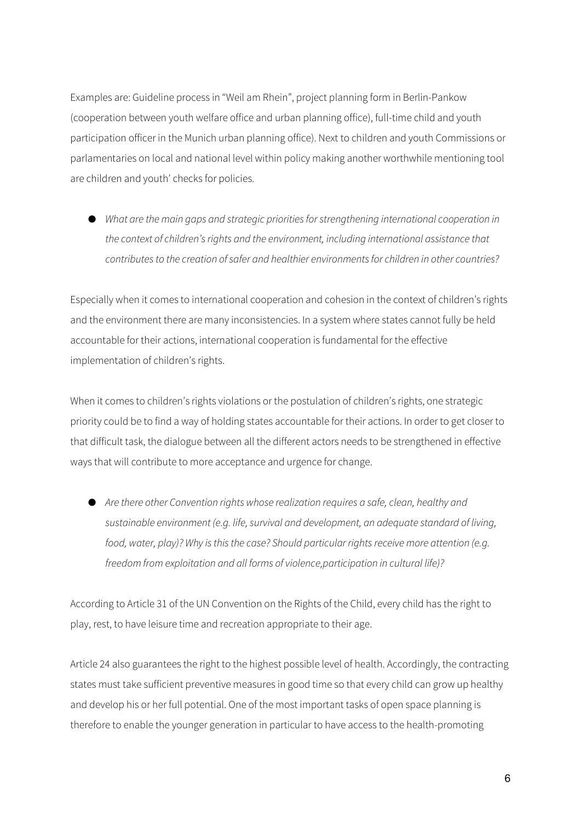Examples are: Guideline process in "Weil am Rhein", project planning form in Berlin-Pankow (cooperation between youth welfare office and urban planning office), full-time child and youth participation officer in the Munich urban planning office). Next to children and youth Commissions or parlamentaries on local and national level within policy making another worthwhile mentioning tool are children and youth' checks for policies.

● What are the main gaps and strategic priorities for strengthening international cooperation in the context of children's rights and the environment, including international assistance that contributes to the creation of safer and healthier environments for children in other countries?

Especially when it comes to international cooperation and cohesion in the context of children's rights and the environment there are many inconsistencies. In a system where states cannot fully be held accountable for their actions, international cooperation is fundamental for the effective implementation of children's rights.

When it comes to children's rights violations or the postulation of children's rights, one strategic priority could be to find a way of holding states accountable for their actions. In order to get closer to that difficult task, the dialogue between all the different actors needs to be strengthened in effective ways that will contribute to more acceptance and urgence for change.

● Are there other Convention rights whose realization requires a safe, clean, healthy and sustainable environment (e.g. life, survival and development, an adequate standard of living, food, water, play)? Why is this the case? Should particular rights receive more attention (e.g. freedom from exploitation and all forms of violence,participation in cultural life)?

According to Article 31 of the UN Convention on the Rights of the Child, every child has the right to play, rest, to have leisure time and recreation appropriate to their age.

Article 24 also guarantees the right to the highest possible level of health. Accordingly, the contracting states must take sufficient preventive measures in good time so that every child can grow up healthy and develop his or her full potential. One of the most important tasks of open space planning is therefore to enable the younger generation in particular to have access to the health-promoting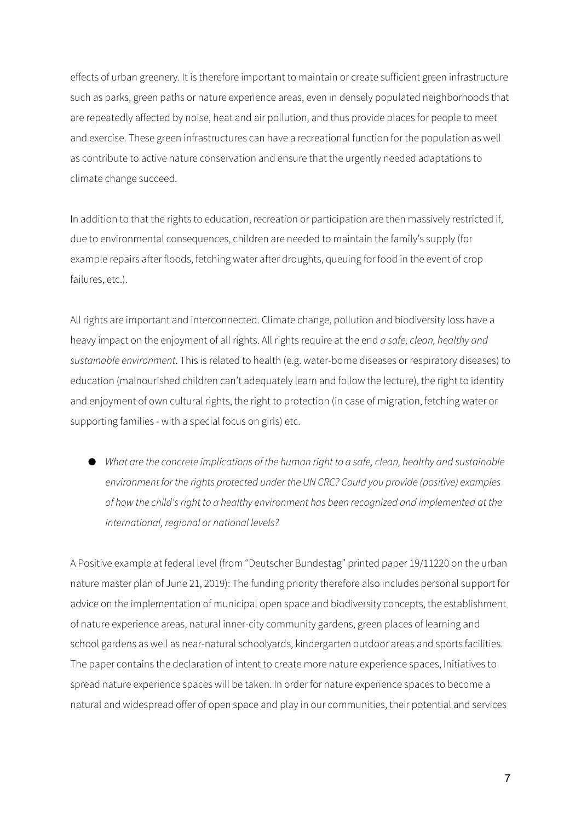effects of urban greenery. It is therefore important to maintain or create sufficient green infrastructure such as parks, green paths or nature experience areas, even in densely populated neighborhoods that are repeatedly affected by noise, heat and air pollution, and thus provide places for people to meet and exercise. These green infrastructures can have a recreational function for the population as well as contribute to active nature conservation and ensure that the urgently needed adaptations to climate change succeed.

In addition to that the rights to education, recreation or participation are then massively restricted if, due to environmental consequences, children are needed to maintain the family's supply (for example repairs after floods, fetching water after droughts, queuing for food in the event of crop failures, etc.).

All rights are important and interconnected. Climate change, pollution and biodiversity loss have a heavy impact on the enjoyment of all rights. All rights require at the end a safe, clean, healthy and sustainable environment. This is related to health (e.g. water-borne diseases or respiratory diseases) to education (malnourished children can't adequately learn and follow the lecture), the right to identity and enjoyment of own cultural rights, the right to protection (in case of migration, fetching water or supporting families - with a special focus on girls) etc.

● What are the concrete implications of the human right to a safe, clean, healthy and sustainable environment for the rights protected under the UN CRC? Could you provide (positive) examples of how the child's right to a healthy environment has been recognized and implemented at the international, regional or national levels?

A Positive example at federal level (from "Deutscher Bundestag" printed paper 19/11220 on the urban nature master plan of June 21, 2019): The funding priority therefore also includes personal support for advice on the implementation of municipal open space and biodiversity concepts, the establishment of nature experience areas, natural inner-city community gardens, green places of learning and school gardens as well as near-natural schoolyards, kindergarten outdoor areas and sports facilities. The paper contains the declaration of intent to create more nature experience spaces, Initiatives to spread nature experience spaces will be taken. In order for nature experience spaces to become a natural and widespread offer of open space and play in our communities, their potential and services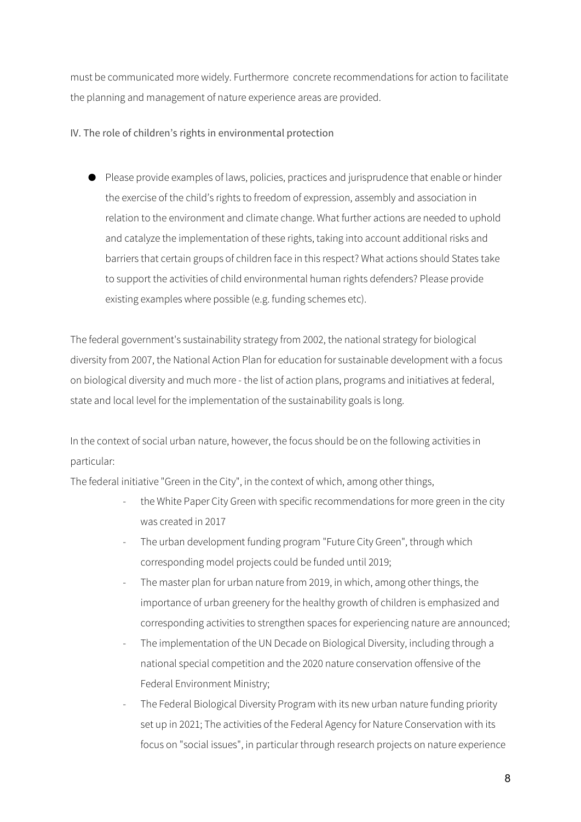must be communicated more widely. Furthermore concrete recommendations for action to facilitate the planning and management of nature experience areas are provided.

## IV. The role of children's rights in environmental protection

● Please provide examples of laws, policies, practices and jurisprudence that enable or hinder the exercise of the child's rights to freedom of expression, assembly and association in relation to the environment and climate change. What further actions are needed to uphold and catalyze the implementation of these rights, taking into account additional risks and barriers that certain groups of children face in this respect? What actions should States take to support the activities of child environmental human rights defenders? Please provide existing examples where possible (e.g. funding schemes etc).

The federal government's sustainability strategy from 2002, the national strategy for biological diversity from 2007, the National Action Plan for education for sustainable development with a focus on biological diversity and much more - the list of action plans, programs and initiatives at federal, state and local level for the implementation of the sustainability goals is long.

In the context of social urban nature, however, the focus should be on the following activities in particular:

The federal initiative "Green in the City", in the context of which, among other things,

- the White Paper City Green with specific recommendations for more green in the city was created in 2017
- The urban development funding program "Future City Green", through which corresponding model projects could be funded until 2019;
- The master plan for urban nature from 2019, in which, among other things, the importance of urban greenery for the healthy growth of children is emphasized and corresponding activities to strengthen spaces for experiencing nature are announced;
- The implementation of the UN Decade on Biological Diversity, including through a national special competition and the 2020 nature conservation offensive of the Federal Environment Ministry;
- The Federal Biological Diversity Program with its new urban nature funding priority set up in 2021; The activities of the Federal Agency for Nature Conservation with its focus on "social issues", in particular through research projects on nature experience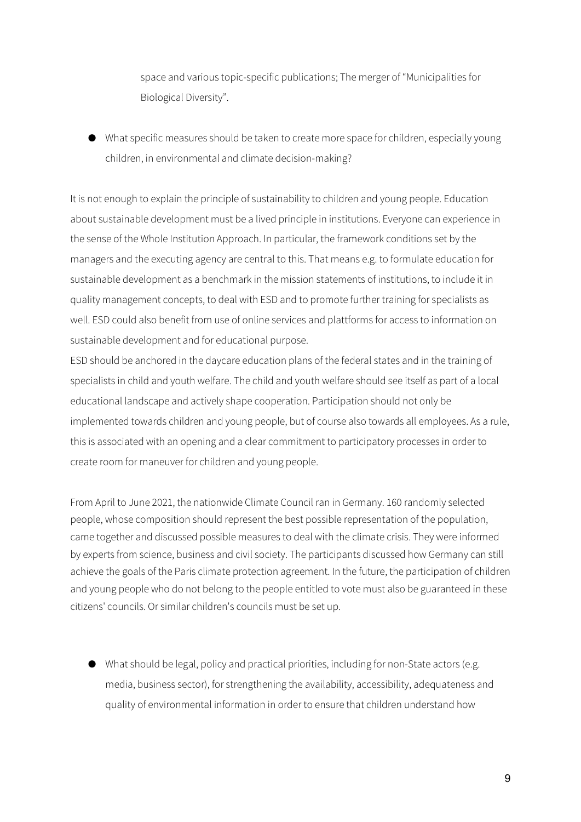space and various topic-specific publications; The merger of "Municipalities for Biological Diversity".

● What specific measures should be taken to create more space for children, especially young children, in environmental and climate decision-making?

It is not enough to explain the principle of sustainability to children and young people. Education about sustainable development must be a lived principle in institutions. Everyone can experience in the sense of the Whole Institution Approach. In particular, the framework conditions set by the managers and the executing agency are central to this. That means e.g. to formulate education for sustainable development as a benchmark in the mission statements of institutions, to include it in quality management concepts, to deal with ESD and to promote further training for specialists as well. ESD could also benefit from use of online services and plattforms for access to information on sustainable development and for educational purpose.

ESD should be anchored in the daycare education plans of the federal states and in the training of specialists in child and youth welfare. The child and youth welfare should see itself as part of a local educational landscape and actively shape cooperation. Participation should not only be implemented towards children and young people, but of course also towards all employees. As a rule, this is associated with an opening and a clear commitment to participatory processes in order to create room for maneuver for children and young people.

From April to June 2021, the nationwide Climate Council ran in Germany. 160 randomly selected people, whose composition should represent the best possible representation of the population, came together and discussed possible measures to deal with the climate crisis. They were informed by experts from science, business and civil society. The participants discussed how Germany can still achieve the goals of the Paris climate protection agreement. In the future, the participation of children and young people who do not belong to the people entitled to vote must also be guaranteed in these citizens' councils. Or similar children's councils must be set up.

● What should be legal, policy and practical priorities, including for non-State actors (e.g. media, business sector), for strengthening the availability, accessibility, adequateness and quality of environmental information in order to ensure that children understand how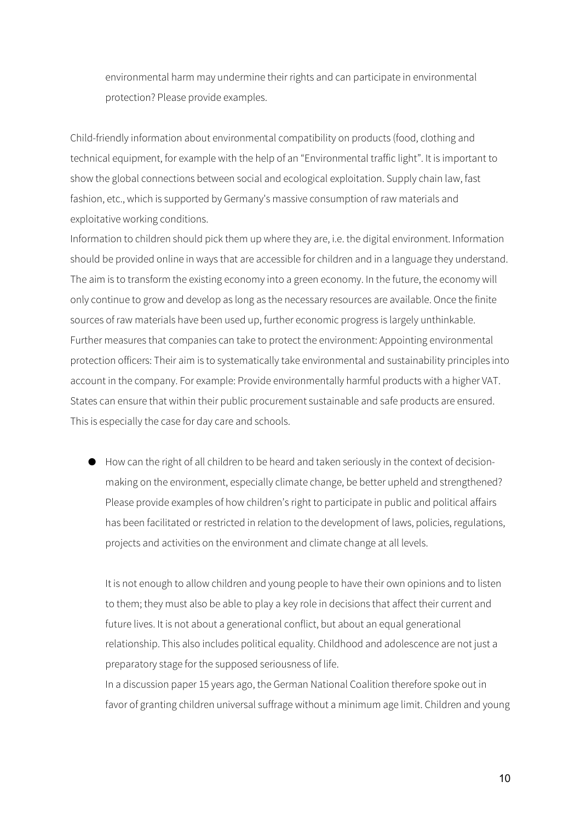environmental harm may undermine their rights and can participate in environmental protection? Please provide examples.

Child-friendly information about environmental compatibility on products (food, clothing and technical equipment, for example with the help of an "Environmental traffic light". It is important to show the global connections between social and ecological exploitation. Supply chain law, fast fashion, etc., which is supported by Germany's massive consumption of raw materials and exploitative working conditions.

Information to children should pick them up where they are, i.e. the digital environment. Information should be provided online in ways that are accessible for children and in a language they understand. The aim is to transform the existing economy into a green economy. In the future, the economy will only continue to grow and develop as long as the necessary resources are available. Once the finite sources of raw materials have been used up, further economic progress is largely unthinkable. Further measures that companies can take to protect the environment: Appointing environmental protection officers: Their aim is to systematically take environmental and sustainability principles into account in the company. For example: Provide environmentally harmful products with a higher VAT. States can ensure that within their public procurement sustainable and safe products are ensured. This is especially the case for day care and schools.

● How can the right of all children to be heard and taken seriously in the context of decisionmaking on the environment, especially climate change, be better upheld and strengthened? Please provide examples of how children's right to participate in public and political affairs has been facilitated or restricted in relation to the development of laws, policies, regulations, projects and activities on the environment and climate change at all levels.

It is not enough to allow children and young people to have their own opinions and to listen to them; they must also be able to play a key role in decisions that affect their current and future lives. It is not about a generational conflict, but about an equal generational relationship. This also includes political equality. Childhood and adolescence are not just a preparatory stage for the supposed seriousness of life.

In a discussion paper 15 years ago, the German National Coalition therefore spoke out in favor of granting children universal suffrage without a minimum age limit. Children and young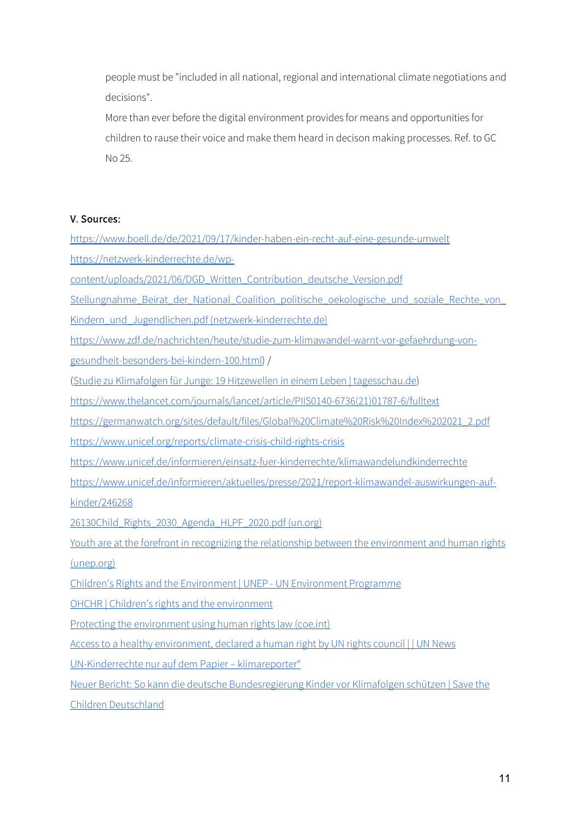people must be "included in all national, regional and international climate negotiations and decisions".

More than ever before the digital environment provides for means and opportunities for children to rause their voice and make them heard in decison making processes. Ref. to GC No 25.

## V. Sources:

| https://www.boell.de/de/2021/09/17/kinder-haben-ein-recht-auf-eine-gesunde-umwelt                   |
|-----------------------------------------------------------------------------------------------------|
| https://netzwerk-kinderrechte.de/wp-                                                                |
| content/uploads/2021/06/DGD Written Contribution deutsche Version.pdf                               |
| Stellungnahme Beirat der National Coalition politische oekologische und soziale Rechte von          |
| Kindern und Jugendlichen.pdf (netzwerk-kinderrechte.de)                                             |
| https://www.zdf.de/nachrichten/heute/studie-zum-klimawandel-warnt-vor-gefaehrdung-von-              |
| gesundheit-besonders-bei-kindern-100.html) /                                                        |
| (Studie zu Klimafolgen für Junge: 19 Hitzewellen in einem Leben   tagesschau.de)                    |
| https://www.thelancet.com/journals/lancet/article/PIIS0140-6736(21)01787-6/fulltext                 |
| https://germanwatch.org/sites/default/files/Global%20Climate%20Risk%20Index%202021_2.pdf            |
| https://www.unicef.org/reports/climate-crisis-child-rights-crisis                                   |
| https://www.unicef.de/informieren/einsatz-fuer-kinderrechte/klimawandelundkinderrechte              |
| https://www.unicef.de/informieren/aktuelles/presse/2021/report-klimawandel-auswirkungen-auf-        |
| kinder/246268                                                                                       |
| 26130Child Rights 2030 Agenda HLPF 2020.pdf (un.org)                                                |
| Youth are at the forefront in recognizing the relationship between the environment and human rights |
| (unep.org)                                                                                          |
| Children's Rights and the Environment   UNEP - UN Environment Programme                             |
| OHCHR   Children's rights and the environment                                                       |
| Protecting the environment using human rights law (coe.int)                                         |
| Access to a healthy environment, declared a human right by UN rights council     UN News            |
| UN-Kinderrechte nur auf dem Papier - klimareporter°                                                 |
| Neuer Bericht: So kann die deutsche Bundesregierung Kinder vor Klimafolgen schützen   Save the      |
| Children Deutschland                                                                                |
|                                                                                                     |